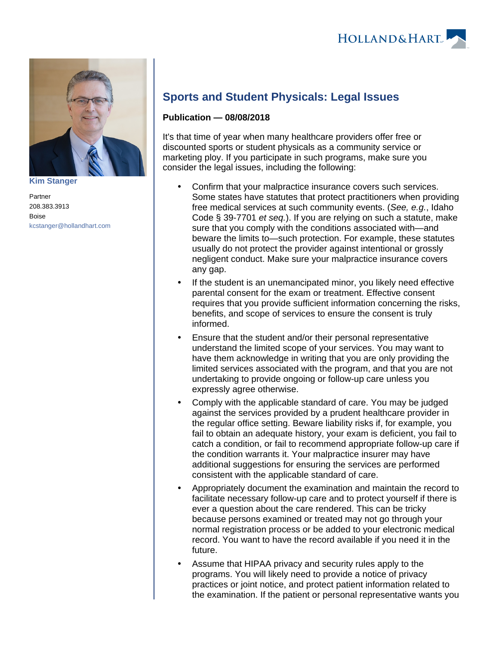

**[Kim Stanger](https://www.hollandhart.com/15954)**

Partner 208.383.3913 Boise [kcstanger@hollandhart.com](mailto:kcstanger@hollandhart.com)

## **Sports and Student Physicals: Legal Issues**

## **Publication — 08/08/2018**

It's that time of year when many healthcare providers offer free or discounted sports or student physicals as a community service or marketing ploy. If you participate in such programs, make sure you consider the legal issues, including the following:

- Confirm that your malpractice insurance covers such services. Some states have statutes that protect practitioners when providing free medical services at such community events. (See, e.g., Idaho Code § 39-7701 et seq.). If you are relying on such a statute, make sure that you comply with the conditions associated with—and beware the limits to—such protection. For example, these statutes usually do not protect the provider against intentional or grossly negligent conduct. Make sure your malpractice insurance covers any gap.
- If the student is an unemancipated minor, you likely need effective parental consent for the exam or treatment. Effective consent requires that you provide sufficient information concerning the risks, benefits, and scope of services to ensure the consent is truly informed.
- Ensure that the student and/or their personal representative understand the limited scope of your services. You may want to have them acknowledge in writing that you are only providing the limited services associated with the program, and that you are not undertaking to provide ongoing or follow-up care unless you expressly agree otherwise.
- Comply with the applicable standard of care. You may be judged against the services provided by a prudent healthcare provider in the regular office setting. Beware liability risks if, for example, you fail to obtain an adequate history, your exam is deficient, you fail to catch a condition, or fail to recommend appropriate follow-up care if the condition warrants it. Your malpractice insurer may have additional suggestions for ensuring the services are performed consistent with the applicable standard of care.
- Appropriately document the examination and maintain the record to facilitate necessary follow-up care and to protect yourself if there is ever a question about the care rendered. This can be tricky because persons examined or treated may not go through your normal registration process or be added to your electronic medical record. You want to have the record available if you need it in the future.
- Assume that HIPAA privacy and security rules apply to the programs. You will likely need to provide a notice of privacy practices or joint notice, and protect patient information related to the examination. If the patient or personal representative wants you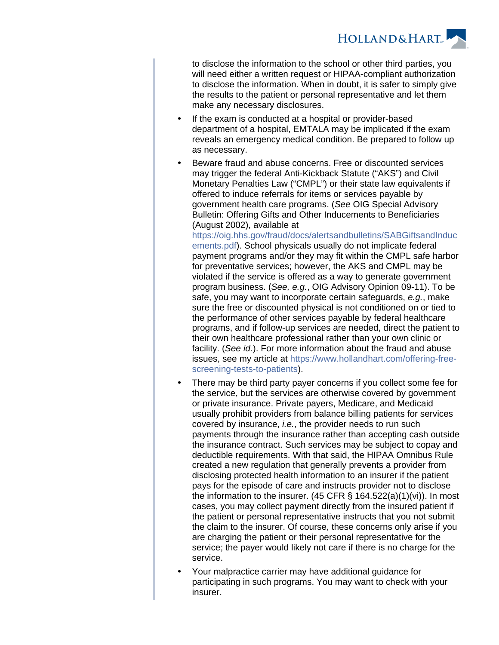**HOLLAND&HART** 

to disclose the information to the school or other third parties, you will need either a written request or HIPAA-compliant authorization to disclose the information. When in doubt, it is safer to simply give the results to the patient or personal representative and let them make any necessary disclosures.

- If the exam is conducted at a hospital or provider-based department of a hospital, EMTALA may be implicated if the exam reveals an emergency medical condition. Be prepared to follow up as necessary.
- Beware fraud and abuse concerns. Free or discounted services may trigger the federal Anti-Kickback Statute ("AKS") and Civil Monetary Penalties Law ("CMPL") or their state law equivalents if offered to induce referrals for items or services payable by government health care programs. (See OIG Special Advisory Bulletin: Offering Gifts and Other Inducements to Beneficiaries (August 2002), available at

[https://oig.hhs.gov/fraud/docs/alertsandbulletins/SABGiftsandInduc](https://oig.hhs.gov/fraud/docs/alertsandbulletins/SABGiftsandInducements.pdf) [ements.pdf](https://oig.hhs.gov/fraud/docs/alertsandbulletins/SABGiftsandInducements.pdf)). School physicals usually do not implicate federal payment programs and/or they may fit within the CMPL safe harbor for preventative services; however, the AKS and CMPL may be violated if the service is offered as a way to generate government program business. (See, e.g., OIG Advisory Opinion 09-11). To be safe, you may want to incorporate certain safeguards, e.g., make sure the free or discounted physical is not conditioned on or tied to the performance of other services payable by federal healthcare programs, and if follow-up services are needed, direct the patient to their own healthcare professional rather than your own clinic or facility. (See id.). For more information about the fraud and abuse issues, see my article at [https://www.hollandhart.com/offering-free](https://www.hollandhart.com/offering-free-screening-tests-to-patients)[screening-tests-to-patients](https://www.hollandhart.com/offering-free-screening-tests-to-patients)).

- There may be third party payer concerns if you collect some fee for the service, but the services are otherwise covered by government or private insurance. Private payers, Medicare, and Medicaid usually prohibit providers from balance billing patients for services covered by insurance, *i.e.*, the provider needs to run such payments through the insurance rather than accepting cash outside the insurance contract. Such services may be subject to copay and deductible requirements. With that said, the HIPAA Omnibus Rule created a new regulation that generally prevents a provider from disclosing protected health information to an insurer if the patient pays for the episode of care and instructs provider not to disclose the information to the insurer. (45 CFR  $\S$  164.522(a)(1)(vi)). In most cases, you may collect payment directly from the insured patient if the patient or personal representative instructs that you not submit the claim to the insurer. Of course, these concerns only arise if you are charging the patient or their personal representative for the service; the payer would likely not care if there is no charge for the service.
- Your malpractice carrier may have additional guidance for participating in such programs. You may want to check with your insurer.